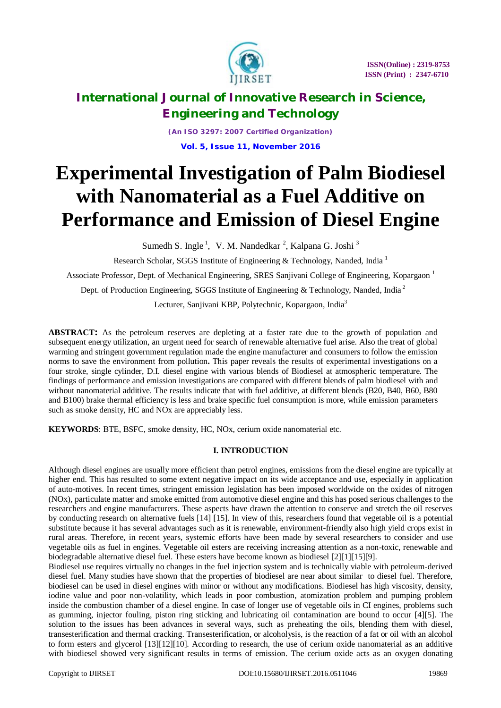

*(An ISO 3297: 2007 Certified Organization)* **Vol. 5, Issue 11, November 2016**

# **Experimental Investigation of Palm Biodiesel with Nanomaterial as a Fuel Additive on Performance and Emission of Diesel Engine**

Sumedh S. Ingle<sup>1</sup>, V. M. Nandedkar<sup>2</sup>, Kalpana G. Joshi<sup>3</sup>

Research Scholar, SGGS Institute of Engineering & Technology, Nanded, India <sup>1</sup>

Associate Professor, Dept. of Mechanical Engineering, SRES Sanjivani College of Engineering, Kopargaon <sup>1</sup>

Dept. of Production Engineering, SGGS Institute of Engineering & Technology, Nanded, India<sup>2</sup>

Lecturer, Sanjivani KBP, Polytechnic, Kopargaon, India<sup>3</sup>

**ABSTRACT:** As the petroleum reserves are depleting at a faster rate due to the growth of population and subsequent energy utilization, an urgent need for search of renewable alternative fuel arise. Also the treat of global warming and stringent government regulation made the engine manufacturer and consumers to follow the emission norms to save the environment from pollution**.** This paper reveals the results of experimental investigations on a four stroke, single cylinder, D.I. diesel engine with various blends of Biodiesel at atmospheric temperature. The findings of performance and emission investigations are compared with different blends of palm biodiesel with and without nanomaterial additive. The results indicate that with fuel additive, at different blends (B20, B40, B60, B80 and B100) brake thermal efficiency is less and brake specific fuel consumption is more, while emission parameters such as smoke density, HC and NOx are appreciably less.

**KEYWORDS**: BTE, BSFC, smoke density, HC, NOx, cerium oxide nanomaterial etc.

### **I. INTRODUCTION**

Although diesel engines are usually more efficient than petrol engines, emissions from the diesel engine are typically at higher end. This has resulted to some extent negative impact on its wide acceptance and use, especially in application of auto-motives. In recent times, stringent emission legislation has been imposed worldwide on the oxides of nitrogen (NOx), particulate matter and smoke emitted from automotive diesel engine and this has posed serious challenges to the researchers and engine manufacturers. These aspects have drawn the attention to conserve and stretch the oil reserves by conducting research on alternative fuels [14] [15]. In view of this, researchers found that vegetable oil is a potential substitute because it has several advantages such as it is renewable, environment-friendly also high yield crops exist in rural areas. Therefore, in recent years, systemic efforts have been made by several researchers to consider and use vegetable oils as fuel in engines. Vegetable oil esters are receiving increasing attention as a non-toxic, renewable and biodegradable alternative diesel fuel. These esters have become known as biodiesel [2][1][15][9].

Biodiesel use requires virtually no changes in the fuel injection system and is technically viable with petroleum-derived diesel fuel. Many studies have shown that the properties of biodiesel are near about similar to diesel fuel. Therefore, biodiesel can be used in diesel engines with minor or without any modifications. Biodiesel has high viscosity, density, iodine value and poor non-volatility, which leads in poor combustion, atomization problem and pumping problem inside the combustion chamber of a diesel engine. In case of longer use of vegetable oils in CI engines, problems such as gumming, injector fouling, piston ring sticking and lubricating oil contamination are bound to occur [4][5]. The solution to the issues has been advances in several ways, such as preheating the oils, blending them with diesel, transesterification and thermal cracking. Transesterification, or alcoholysis, is the reaction of a fat or oil with an alcohol to form esters and glycerol [13][12][10]. According to research, the use of cerium oxide nanomaterial as an additive with biodiesel showed very significant results in terms of emission. The cerium oxide acts as an oxygen donating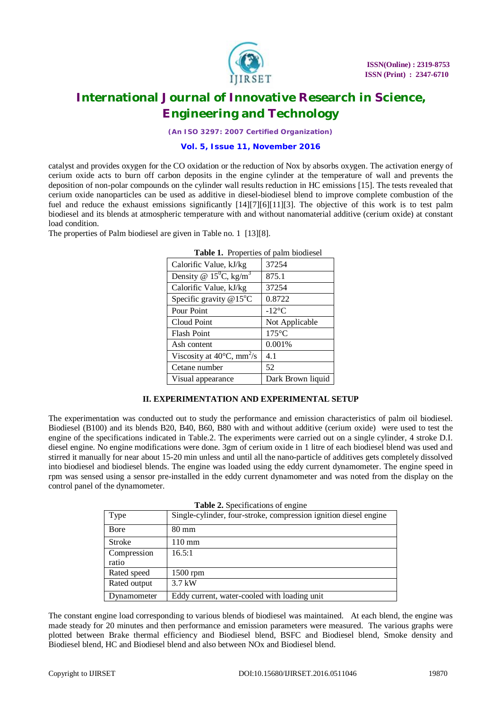

*(An ISO 3297: 2007 Certified Organization)*

#### **Vol. 5, Issue 11, November 2016**

catalyst and provides oxygen for the CO oxidation or the reduction of Nox by absorbs oxygen. The activation energy of cerium oxide acts to burn off carbon deposits in the engine cylinder at the temperature of wall and prevents the deposition of non-polar compounds on the cylinder wall results reduction in HC emissions [15]. The tests revealed that cerium oxide nanoparticles can be used as additive in diesel-biodiesel blend to improve complete combustion of the fuel and reduce the exhaust emissions significantly [14][7][6][11][3]. The objective of this work is to test palm biodiesel and its blends at atmospheric temperature with and without nanomaterial additive (cerium oxide) at constant load condition.

The properties of Palm biodiesel are given in Table no. 1 [13][8].

| <b>Those 1.</b> Troperties of putting production |                   |
|--------------------------------------------------|-------------------|
| Calorific Value, kJ/kg                           | 37254             |
| Density @ $15^{\circ}$ C, kg/m <sup>3</sup>      | 875.1             |
| Calorific Value, kJ/kg                           | 37254             |
| Specific gravity $@15°C$                         | 0.8722            |
| Pour Point                                       | $-12$ °C          |
| Cloud Point                                      | Not Applicable    |
| <b>Flash Point</b>                               | $175^{\circ}$ C   |
| Ash content                                      | 0.001%            |
| Viscosity at $40^{\circ}$ C, mm <sup>2</sup> /s  | 4.1               |
| Cetane number                                    | 52                |
| Visual appearance                                | Dark Brown liquid |

**Table 1.** Properties of palm biodiesel

### **II. EXPERIMENTATION AND EXPERIMENTAL SETUP**

The experimentation was conducted out to study the performance and emission characteristics of palm oil biodiesel. Biodiesel (B100) and its blends B20, B40, B60, B80 with and without additive (cerium oxide) were used to test the engine of the specifications indicated in Table.2. The experiments were carried out on a single cylinder, 4 stroke D.I. diesel engine. No engine modifications were done. 3gm of cerium oxide in 1 litre of each biodiesel blend was used and stirred it manually for near about 15-20 min unless and until all the nano-particle of additives gets completely dissolved into biodiesel and biodiesel blends. The engine was loaded using the eddy current dynamometer. The engine speed in rpm was sensed using a sensor pre-installed in the eddy current dynamometer and was noted from the display on the control panel of the dynamometer.

|  | Table 2. Specifications of engine |  |
|--|-----------------------------------|--|
|--|-----------------------------------|--|

| Type                 | Single-cylinder, four-stroke, compression ignition diesel engine |
|----------------------|------------------------------------------------------------------|
| Bore                 | $80 \text{ mm}$                                                  |
| <b>Stroke</b>        | $110 \text{ mm}$                                                 |
| Compression<br>ratio | 16.5:1                                                           |
| Rated speed          | 1500 rpm                                                         |
| Rated output         | $3.7$ kW                                                         |
| Dynamometer          | Eddy current, water-cooled with loading unit                     |

The constant engine load corresponding to various blends of biodiesel was maintained. At each blend, the engine was made steady for 20 minutes and then performance and emission parameters were measured. The various graphs were plotted between Brake thermal efficiency and Biodiesel blend, BSFC and Biodiesel blend, Smoke density and Biodiesel blend, HC and Biodiesel blend and also between NOx and Biodiesel blend.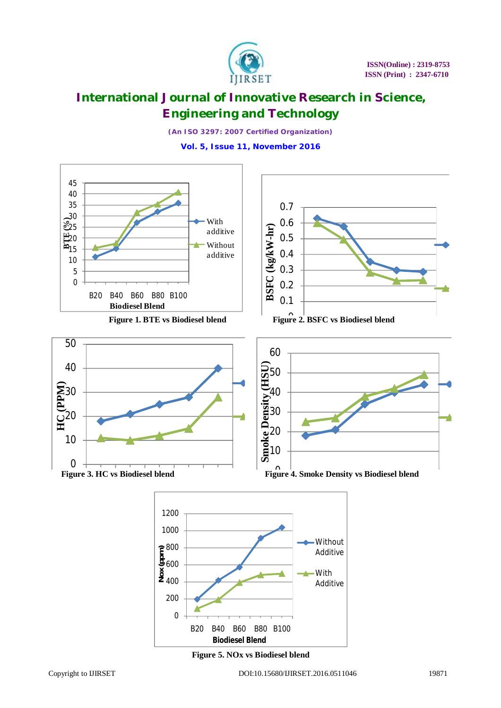

*(An ISO 3297: 2007 Certified Organization)* **Vol. 5, Issue 11, November 2016**



**Figure 5. NOx vs Biodiesel blend**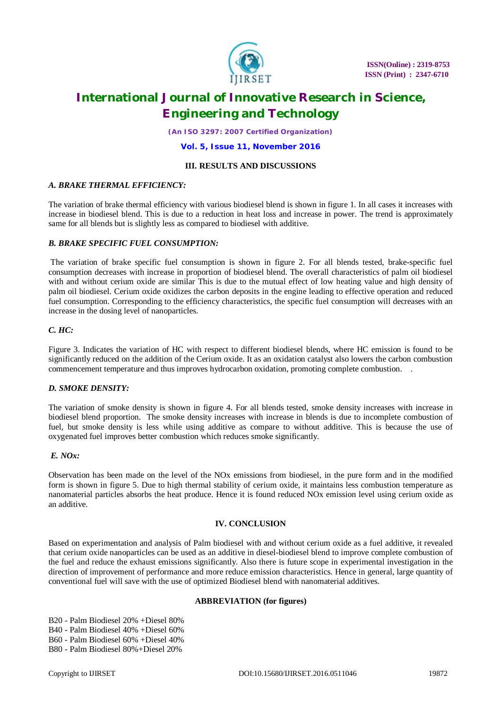

*(An ISO 3297: 2007 Certified Organization)*

#### **Vol. 5, Issue 11, November 2016**

#### **III. RESULTS AND DISCUSSIONS**

### *A. BRAKE THERMAL EFFICIENCY:*

The variation of brake thermal efficiency with various biodiesel blend is shown in figure 1. In all cases it increases with increase in biodiesel blend. This is due to a reduction in heat loss and increase in power. The trend is approximately same for all blends but is slightly less as compared to biodiesel with additive.

### *B. BRAKE SPECIFIC FUEL CONSUMPTION:*

The variation of brake specific fuel consumption is shown in figure 2. For all blends tested, brake-specific fuel consumption decreases with increase in proportion of biodiesel blend. The overall characteristics of palm oil biodiesel with and without cerium oxide are similar This is due to the mutual effect of low heating value and high density of palm oil biodiesel. Cerium oxide oxidizes the carbon deposits in the engine leading to effective operation and reduced fuel consumption. Corresponding to the efficiency characteristics, the specific fuel consumption will decreases with an increase in the dosing level of nanoparticles.

### *C. HC:*

Figure 3. Indicates the variation of HC with respect to different biodiesel blends, where HC emission is found to be significantly reduced on the addition of the Cerium oxide. It as an oxidation catalyst also lowers the carbon combustion commencement temperature and thus improves hydrocarbon oxidation, promoting complete combustion. .

### *D. SMOKE DENSITY:*

The variation of smoke density is shown in figure 4. For all blends tested, smoke density increases with increase in biodiesel blend proportion. The smoke density increases with increase in blends is due to incomplete combustion of fuel, but smoke density is less while using additive as compare to without additive. This is because the use of oxygenated fuel improves better combustion which reduces smoke significantly.

### *E. NOx:*

Observation has been made on the level of the NOx emissions from biodiesel, in the pure form and in the modified form is shown in figure 5. Due to high thermal stability of cerium oxide, it maintains less combustion temperature as nanomaterial particles absorbs the heat produce. Hence it is found reduced NOx emission level using cerium oxide as an additive.

### **IV. CONCLUSION**

Based on experimentation and analysis of Palm biodiesel with and without cerium oxide as a fuel additive, it revealed that cerium oxide nanoparticles can be used as an additive in diesel-biodiesel blend to improve complete combustion of the fuel and reduce the exhaust emissions significantly. Also there is future scope in experimental investigation in the direction of improvement of performance and more reduce emission characteristics. Hence in general, large quantity of conventional fuel will save with the use of optimized Biodiesel blend with nanomaterial additives.

#### **ABBREVIATION (for figures)**

B20 - Palm Biodiesel 20% +Diesel 80% B40 - Palm Biodiesel 40% +Diesel 60% B60 - Palm Biodiesel 60% +Diesel 40% B80 - Palm Biodiesel 80%+Diesel 20%